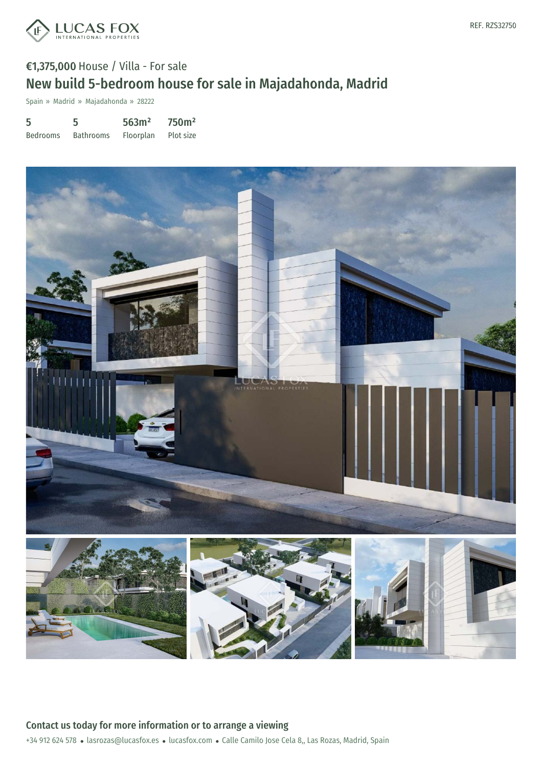

# €1,375,000 House / Villa - For sale New build 5-bedroom house for sale in Majadahonda, Madrid

Spain » Madrid » Majadahonda » 28222

| 5               | 5                | 563m <sup>2</sup> | 750 <sup>m²</sup> |
|-----------------|------------------|-------------------|-------------------|
| <b>Bedrooms</b> | <b>Bathrooms</b> | Floorplan         | Plot size         |

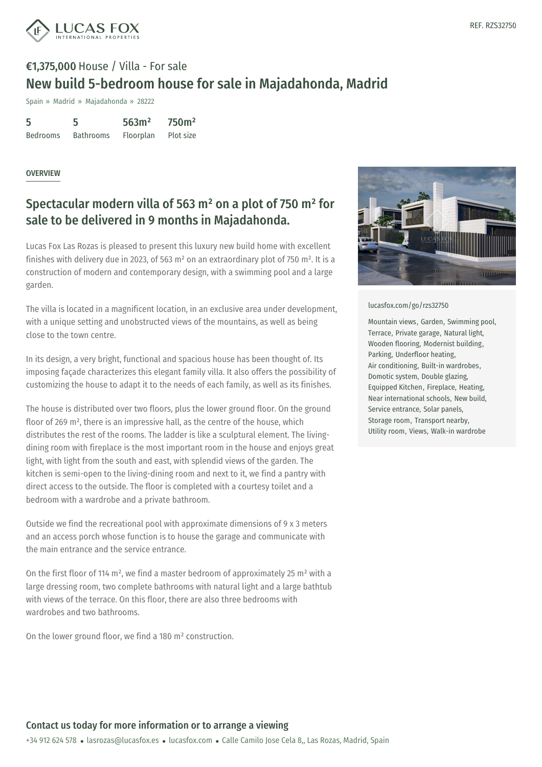

# €1,375,000 House / Villa - For sale New build 5-bedroom house for sale in Majadahonda, Madrid

Spain » Madrid » Majadahonda » 28222

| 5               | 5                | 563m <sup>2</sup> | 750 <sup>m²</sup> |
|-----------------|------------------|-------------------|-------------------|
| <b>Bedrooms</b> | <b>Bathrooms</b> | Floorplan         | Plot size         |

### **OVERVIEW**

## Spectacular modern villa of 563 m² on a plot of 750 m² for sale to be delivered in 9 months in Majadahonda.

Lucas Fox Las Rozas is pleased to present this luxury new build home with excellent finishes with delivery due in 2023, of 563 m<sup>2</sup> on an extraordinary plot of 750 m<sup>2</sup>. It is a construction of modern and contemporary design, with a swimming pool and a large garden.

The villa is located in a magnificent location, in an exclusive area under development, with a unique setting and unobstructed views of the mountains, as well as being close to the town centre.

In its design, a very bright, functional and spacious house has been thought of. Its imposing façade characterizes this elegant family villa. It also offers the possibility of customizing the house to adapt it to the needs of each family, as well as its finishes.

The house is distributed over two floors, plus the lower ground floor. On the ground floor of 269 m², there is an impressive hall, as the centre of the house, which distributes the rest of the rooms. The ladder is like a sculptural element. The livingdining room with fireplace is the most important room in the house and enjoys great light, with light from the south and east, with splendid views of the garden. The kitchen is semi-open to the living-dining room and next to it, we find a pantry with direct access to the outside. The floor is completed with a courtesy toilet and a bedroom with a wardrobe and a private bathroom.

Outside we find the recreational pool with approximate dimensions of 9 x 3 meters and an access porch whose function is to house the garage and communicate with the main entrance and the service entrance.

On the first floor of 114 m<sup>2</sup>, we [find](mailto:lasrozas@lucasfox.es) a master [bedroo](https://www.lucasfox.com)m of approximately 25 m<sup>2</sup> with a large dressing room, two complete bathrooms with natural light and a large bathtub with views of the terrace. On this floor, there are also three bedrooms with wardrobes and two bathrooms.

On the lower ground floor, we find a 180 m² construction.



#### [lucasfox.com/go/rzs32750](https://www.lucasfox.com/go/rzs32750)

Mountain views, Garden, Swimming pool, Terrace, Private garage, Natural light, Wooden flooring, Modernist building, Parking, Underfloor heating, Air conditioning, Built-in wardrobes, Domotic system, Double glazing, Equipped Kitchen, Fireplace, Heating, Near international schools, New build, Service entrance, Solar panels, Storage room, Transport nearby, Utility room, Views, Walk-in wardrobe

### Contact us today for more information or to arrange a viewing

+34 912 624 578 · lasrozas@lucasfox.es · lucasfox.com · Calle Camilo Jose Cela 8,, Las Rozas, Madrid, Spain